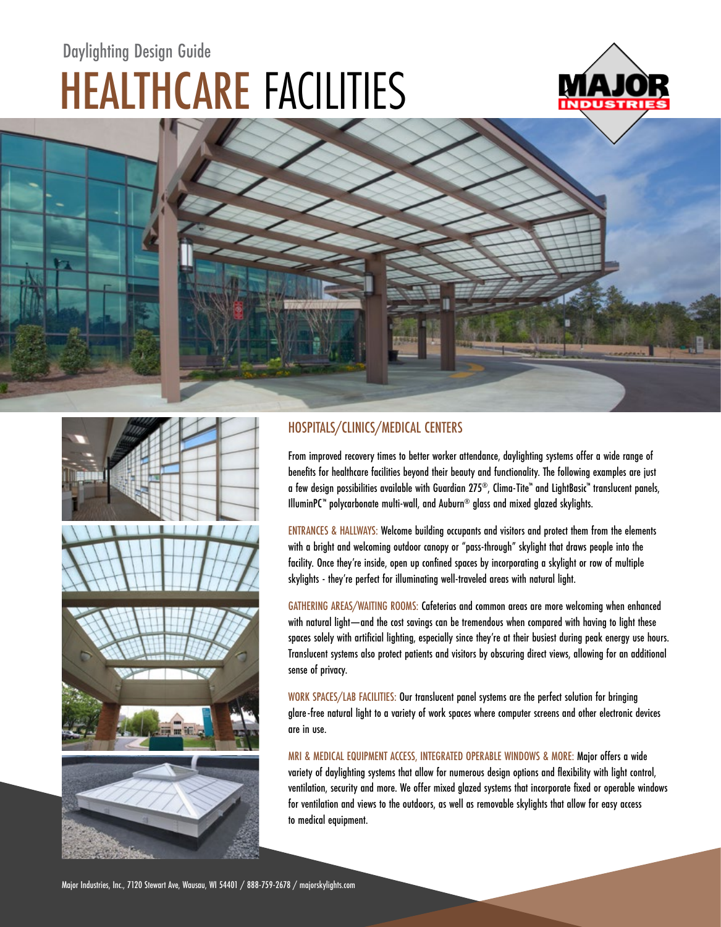## HEALTHCARE FACILITIES Daylighting Design Guide







## HOSPITALS/CLINICS/MEDICAL CENTERS

From improved recovery times to better worker attendance, daylighting systems offer a wide range of benefits for healthcare facilities beyond their beauty and functionality. The following examples are just a few design possibilities available with Guardian 275®, Clima-Tite™ and LightBasic™ translucent panels, IlluminPC™ polycarbonate multi-wall, and Auburn® glass and mixed glazed skylights.

ENTRANCES & HALLWAYS: Welcome building occupants and visitors and protect them from the elements with a bright and welcoming outdoor canopy or "pass-through" skylight that draws people into the facility. Once they're inside, open up confined spaces by incorporating a skylight or row of multiple skylights - they're perfect for illuminating well-traveled areas with natural light.

GATHERING AREAS/WAITING ROOMS: Cafeterias and common areas are more welcoming when enhanced with natural light—and the cost savings can be tremendous when compared with having to light these spaces solely with artificial lighting, especially since they're at their busiest during peak energy use hours. Translucent systems also protect patients and visitors by obscuring direct views, allowing for an additional sense of privacy.

WORK SPACES/LAB FACILITIES: Our translucent panel systems are the perfect solution for bringing glare-free natural light to a variety of work spaces where computer screens and other electronic devices are in use.

MRI & MEDICAL EQUIPMENT ACCESS, INTEGRATED OPERABLE WINDOWS & MORE: Major offers a wide variety of daylighting systems that allow for numerous design options and flexibility with light control, ventilation, security and more. We offer mixed glazed systems that incorporate fixed or operable windows for ventilation and views to the outdoors, as well as removable skylights that allow for easy access to medical equipment.